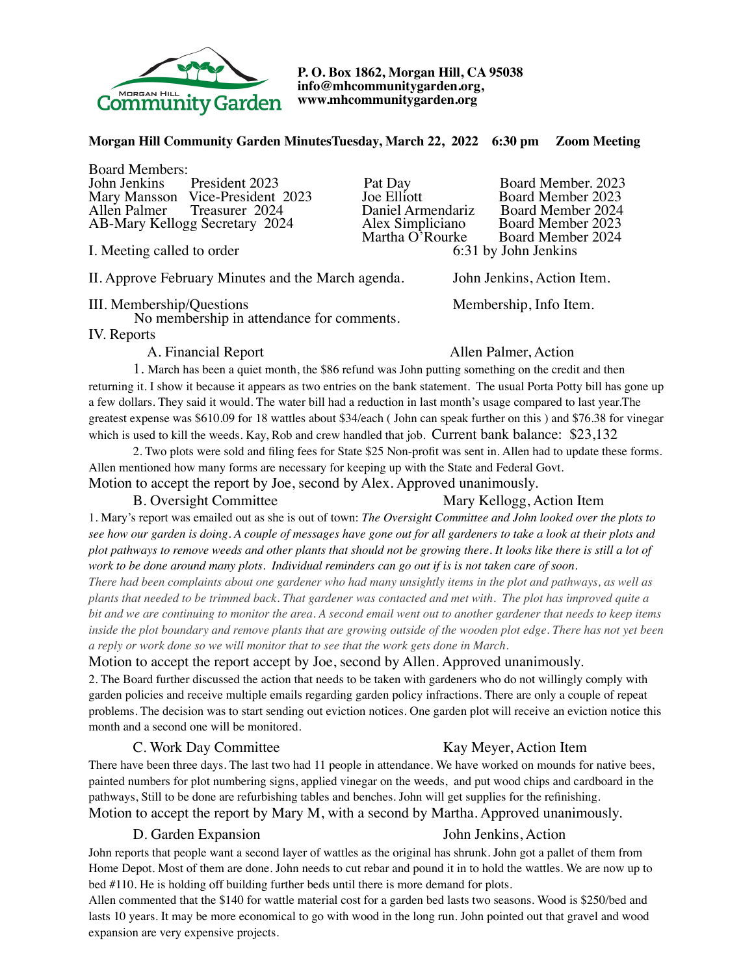

**P. O. Box 1862, Morgan Hill, CA 95038 info@mhcommunitygarden.org, www.mhcommunitygarden.org** 

### **Morgan Hill Community Garden MinutesTuesday, March 22, 2022 6:30 pm Zoom Meeting**

Board Members:<br>John Jenkins President 2023 Mary Mansson Vice-President 2023 Joe Elliott<br>Allen Palmer Treasurer 2024 Daniel Armendariz AB-Mary Kellogg Secretary 2024 Alex Simpliciano<br>Martha O'Rourke

I. Meeting called to order

II. Approve February Minutes and the March agenda. John Jenkins, Action Item.

III. Membership/Questions Membership, Info Item.

No membership in attendance for comments.

IV. Reports

**Daniel Armendariz Board Member 2024**<br>Alex Simpliciano Board Member 2023

Pat Day Board Member. 2023<br>Joe Elliott Board Member 2023 rke Board Member 2024<br>6:31 by John Jenkins

# A. Financial Report Allen Palmer, Action

1. March has been a quiet month, the \$86 refund was John putting something on the credit and then returning it. I show it because it appears as two entries on the bank statement. The usual Porta Potty bill has gone up a few dollars. They said it would. The water bill had a reduction in last month's usage compared to last year.The greatest expense was \$610.09 for 18 wattles about \$34/each ( John can speak further on this ) and \$76.38 for vinegar which is used to kill the weeds. Kay, Rob and crew handled that job. Current bank balance: \$23,132

2. Two plots were sold and filing fees for State \$25 Non-profit was sent in. Allen had to update these forms. Allen mentioned how many forms are necessary for keeping up with the State and Federal Govt. Motion to accept the report by Joe, second by Alex. Approved unanimously.

# B. Oversight Committee Mary Kellogg, Action Item

1. Mary's report was emailed out as she is out of town: *The Oversight Committee and John looked over the plots to see how our garden is doing. A couple of messages have gone out for all gardeners to take a look at their plots and plot pathways to remove weeds and other plants that should not be growing there. It looks like there is still a lot of work to be done around many plots. Individual reminders can go out if is is not taken care of soon.* 

*There had been complaints about one gardener who had many unsightly items in the plot and pathways, as well as plants that needed to be trimmed back. That gardener was contacted and met with. The plot has improved quite a bit and we are continuing to monitor the area. A second email went out to another gardener that needs to keep items inside the plot boundary and remove plants that are growing outside of the wooden plot edge. There has not yet been a reply or work done so we will monitor that to see that the work gets done in March.*

### Motion to accept the report accept by Joe, second by Allen. Approved unanimously.

2. The Board further discussed the action that needs to be taken with gardeners who do not willingly comply with garden policies and receive multiple emails regarding garden policy infractions. There are only a couple of repeat problems. The decision was to start sending out eviction notices. One garden plot will receive an eviction notice this month and a second one will be monitored.

### C. Work Day Committee Kay Meyer, Action Item

# There have been three days. The last two had 11 people in attendance. We have worked on mounds for native bees, painted numbers for plot numbering signs, applied vinegar on the weeds, and put wood chips and cardboard in the pathways, Still to be done are refurbishing tables and benches. John will get supplies for the refinishing. Motion to accept the report by Mary M, with a second by Martha. Approved unanimously.

# D. Garden Expansion John Jenkins, Action

John reports that people want a second layer of wattles as the original has shrunk. John got a pallet of them from Home Depot. Most of them are done. John needs to cut rebar and pound it in to hold the wattles. We are now up to bed #110. He is holding off building further beds until there is more demand for plots.

Allen commented that the \$140 for wattle material cost for a garden bed lasts two seasons. Wood is \$250/bed and lasts 10 years. It may be more economical to go with wood in the long run. John pointed out that gravel and wood expansion are very expensive projects.